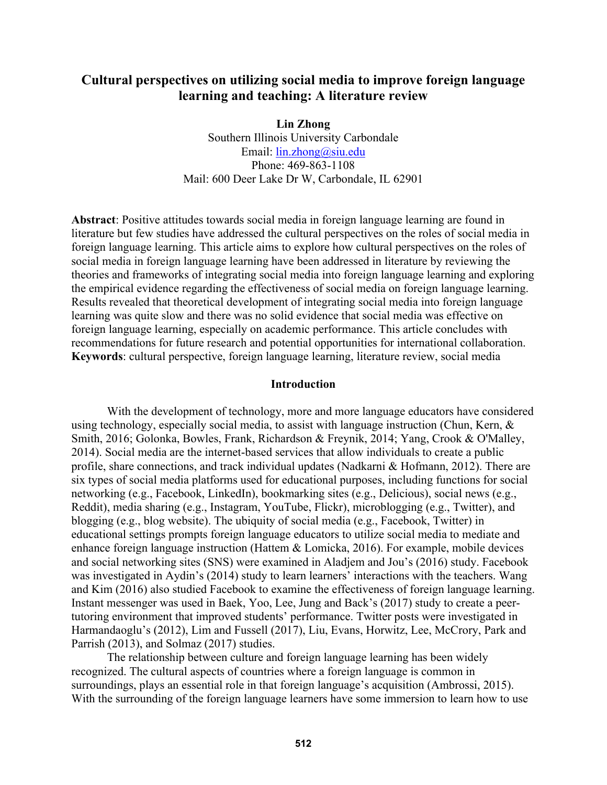# **Cultural perspectives on utilizing social media to improve foreign language learning and teaching: A literature review**

**Lin Zhong**  Southern Illinois University Carbondale Email: lin.zhong@siu.edu Phone: 469-863-1108 Mail: 600 Deer Lake Dr W, Carbondale, IL 62901

**Abstract**: Positive attitudes towards social media in foreign language learning are found in literature but few studies have addressed the cultural perspectives on the roles of social media in foreign language learning. This article aims to explore how cultural perspectives on the roles of social media in foreign language learning have been addressed in literature by reviewing the theories and frameworks of integrating social media into foreign language learning and exploring the empirical evidence regarding the effectiveness of social media on foreign language learning. Results revealed that theoretical development of integrating social media into foreign language learning was quite slow and there was no solid evidence that social media was effective on foreign language learning, especially on academic performance. This article concludes with recommendations for future research and potential opportunities for international collaboration. **Keywords**: cultural perspective, foreign language learning, literature review, social media

### **Introduction**

With the development of technology, more and more language educators have considered using technology, especially social media, to assist with language instruction (Chun, Kern, & Smith, 2016; Golonka, Bowles, Frank, Richardson & Freynik, 2014; Yang, Crook & O'Malley, 2014). Social media are the internet-based services that allow individuals to create a public profile, share connections, and track individual updates (Nadkarni & Hofmann, 2012). There are six types of social media platforms used for educational purposes, including functions for social networking (e.g., Facebook, LinkedIn), bookmarking sites (e.g., Delicious), social news (e.g., Reddit), media sharing (e.g., Instagram, YouTube, Flickr), microblogging (e.g., Twitter), and blogging (e.g., blog website). The ubiquity of social media (e.g., Facebook, Twitter) in educational settings prompts foreign language educators to utilize social media to mediate and enhance foreign language instruction (Hattem & Lomicka, 2016). For example, mobile devices and social networking sites (SNS) were examined in Aladjem and Jou's (2016) study. Facebook was investigated in Aydin's (2014) study to learn learners' interactions with the teachers. Wang and Kim (2016) also studied Facebook to examine the effectiveness of foreign language learning. Instant messenger was used in Baek, Yoo, Lee, Jung and Back's (2017) study to create a peertutoring environment that improved students' performance. Twitter posts were investigated in Harmandaoglu's (2012), Lim and Fussell (2017), Liu, Evans, Horwitz, Lee, McCrory, Park and Parrish (2013), and Solmaz (2017) studies.

The relationship between culture and foreign language learning has been widely recognized. The cultural aspects of countries where a foreign language is common in surroundings, plays an essential role in that foreign language's acquisition (Ambrossi, 2015). With the surrounding of the foreign language learners have some immersion to learn how to use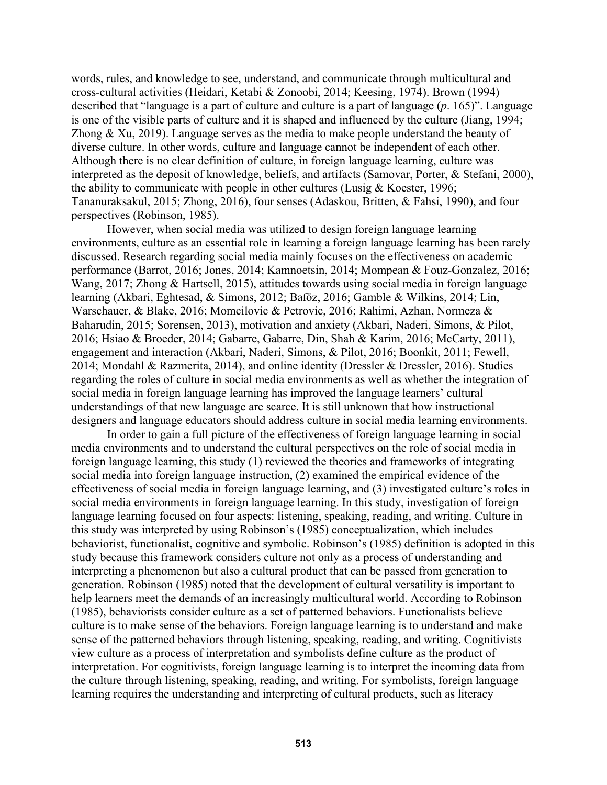words, rules, and knowledge to see, understand, and communicate through multicultural and cross-cultural activities (Heidari, Ketabi & Zonoobi, 2014; Keesing, 1974). Brown (1994) described that "language is a part of culture and culture is a part of language (*p*. 165)". Language is one of the visible parts of culture and it is shaped and influenced by the culture (Jiang, 1994; Zhong  $\&$  Xu, 2019). Language serves as the media to make people understand the beauty of diverse culture. In other words, culture and language cannot be independent of each other. Although there is no clear definition of culture, in foreign language learning, culture was interpreted as the deposit of knowledge, beliefs, and artifacts (Samovar, Porter, & Stefani, 2000), the ability to communicate with people in other cultures (Lusig & Koester, 1996; Tananuraksakul, 2015; Zhong, 2016), four senses (Adaskou, Britten, & Fahsi, 1990), and four perspectives (Robinson, 1985).

However, when social media was utilized to design foreign language learning environments, culture as an essential role in learning a foreign language learning has been rarely discussed. Research regarding social media mainly focuses on the effectiveness on academic performance (Barrot, 2016; Jones, 2014; Kamnoetsin, 2014; Mompean & Fouz-Gonzalez, 2016; Wang, 2017; Zhong & Hartsell, 2015), attitudes towards using social media in foreign language learning (Akbari, Eghtesad, & Simons, 2012; Baſöz, 2016; Gamble & Wilkins, 2014; Lin, Warschauer, & Blake, 2016; Momcilovic & Petrovic, 2016; Rahimi, Azhan, Normeza & Baharudin, 2015; Sorensen, 2013), motivation and anxiety (Akbari, Naderi, Simons, & Pilot, 2016; Hsiao & Broeder, 2014; Gabarre, Gabarre, Din, Shah & Karim, 2016; McCarty, 2011), engagement and interaction (Akbari, Naderi, Simons, & Pilot, 2016; Boonkit, 2011; Fewell, 2014; Mondahl & Razmerita, 2014), and online identity (Dressler & Dressler, 2016). Studies regarding the roles of culture in social media environments as well as whether the integration of social media in foreign language learning has improved the language learners' cultural understandings of that new language are scarce. It is still unknown that how instructional designers and language educators should address culture in social media learning environments.

In order to gain a full picture of the effectiveness of foreign language learning in social media environments and to understand the cultural perspectives on the role of social media in foreign language learning, this study (1) reviewed the theories and frameworks of integrating social media into foreign language instruction, (2) examined the empirical evidence of the effectiveness of social media in foreign language learning, and (3) investigated culture's roles in social media environments in foreign language learning. In this study, investigation of foreign language learning focused on four aspects: listening, speaking, reading, and writing. Culture in this study was interpreted by using Robinson's (1985) conceptualization, which includes behaviorist, functionalist, cognitive and symbolic. Robinson's (1985) definition is adopted in this study because this framework considers culture not only as a process of understanding and interpreting a phenomenon but also a cultural product that can be passed from generation to generation. Robinson (1985) noted that the development of cultural versatility is important to help learners meet the demands of an increasingly multicultural world. According to Robinson (1985), behaviorists consider culture as a set of patterned behaviors. Functionalists believe culture is to make sense of the behaviors. Foreign language learning is to understand and make sense of the patterned behaviors through listening, speaking, reading, and writing. Cognitivists view culture as a process of interpretation and symbolists define culture as the product of interpretation. For cognitivists, foreign language learning is to interpret the incoming data from the culture through listening, speaking, reading, and writing. For symbolists, foreign language learning requires the understanding and interpreting of cultural products, such as literacy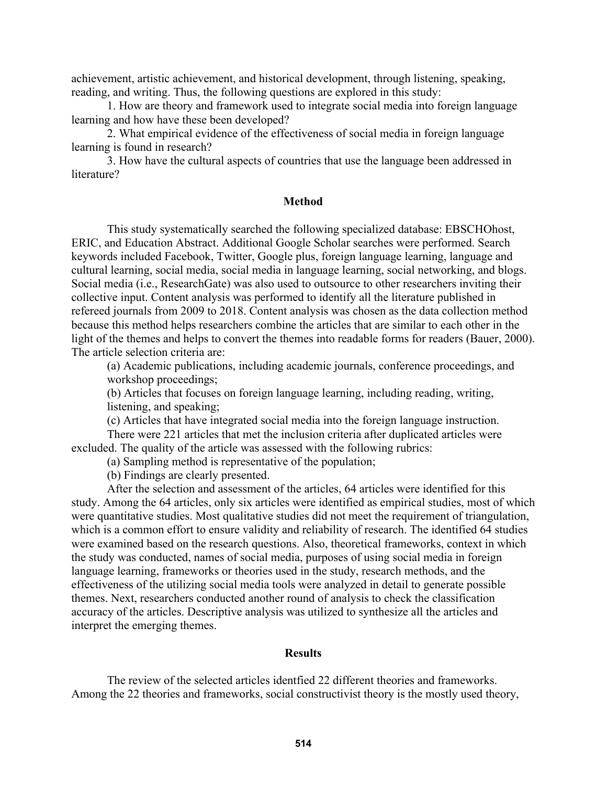achievement, artistic achievement, and historical development, through listening, speaking, reading, and writing. Thus, the following questions are explored in this study:

1. How are theory and framework used to integrate social media into foreign language learning and how have these been developed?

2. What empirical evidence of the effectiveness of social media in foreign language learning is found in research?

3. How have the cultural aspects of countries that use the language been addressed in literature?

### **Method**

This study systematically searched the following specialized database: EBSCHOhost, ERIC, and Education Abstract. Additional Google Scholar searches were performed. Search keywords included Facebook, Twitter, Google plus, foreign language learning, language and cultural learning, social media, social media in language learning, social networking, and blogs. Social media (i.e., ResearchGate) was also used to outsource to other researchers inviting their collective input. Content analysis was performed to identify all the literature published in refereed journals from 2009 to 2018. Content analysis was chosen as the data collection method because this method helps researchers combine the articles that are similar to each other in the light of the themes and helps to convert the themes into readable forms for readers (Bauer, 2000). The article selection criteria are:

(a) Academic publications, including academic journals, conference proceedings, and workshop proceedings;

(b) Articles that focuses on foreign language learning, including reading, writing, listening, and speaking;

(c) Articles that have integrated social media into the foreign language instruction.

There were 221 articles that met the inclusion criteria after duplicated articles were excluded. The quality of the article was assessed with the following rubrics:

(a) Sampling method is representative of the population;

(b) Findings are clearly presented.

After the selection and assessment of the articles, 64 articles were identified for this study. Among the 64 articles, only six articles were identified as empirical studies, most of which were quantitative studies. Most qualitative studies did not meet the requirement of triangulation, which is a common effort to ensure validity and reliability of research. The identified 64 studies were examined based on the research questions. Also, theoretical frameworks, context in which the study was conducted, names of social media, purposes of using social media in foreign language learning, frameworks or theories used in the study, research methods, and the effectiveness of the utilizing social media tools were analyzed in detail to generate possible themes. Next, researchers conducted another round of analysis to check the classification accuracy of the articles. Descriptive analysis was utilized to synthesize all the articles and interpret the emerging themes.

#### **Results**

The review of the selected articles identfied 22 different theories and frameworks. Among the 22 theories and frameworks, social constructivist theory is the mostly used theory,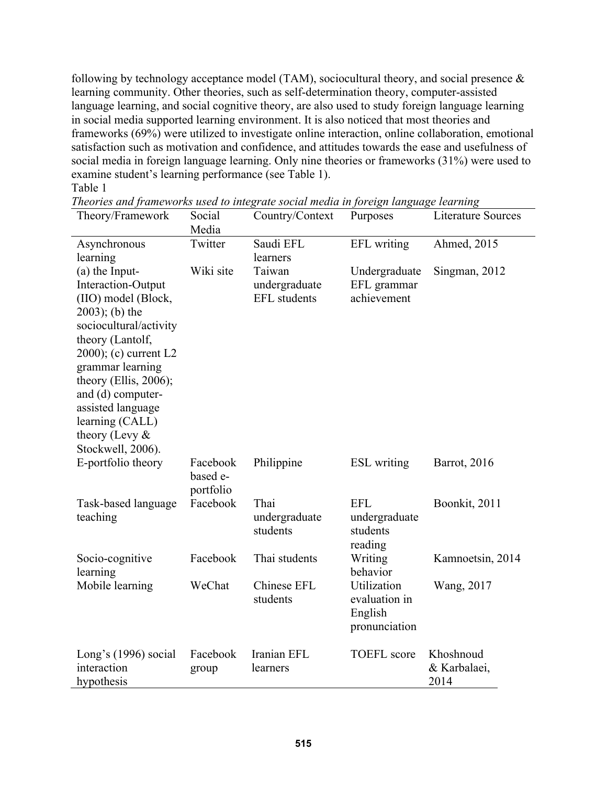following by technology acceptance model (TAM), sociocultural theory, and social presence & learning community. Other theories, such as self-determination theory, computer-assisted language learning, and social cognitive theory, are also used to study foreign language learning in social media supported learning environment. It is also noticed that most theories and frameworks (69%) were utilized to investigate online interaction, online collaboration, emotional satisfaction such as motivation and confidence, and attitudes towards the ease and usefulness of social media in foreign language learning. Only nine theories or frameworks (31%) were used to examine student's learning performance (see Table 1). Table 1

| Theory/Framework                                                                                                                                                                                                                                                                                            | Social<br>Media                   | Country/Context                                | Purposes                                                 | <b>Literature Sources</b>         |
|-------------------------------------------------------------------------------------------------------------------------------------------------------------------------------------------------------------------------------------------------------------------------------------------------------------|-----------------------------------|------------------------------------------------|----------------------------------------------------------|-----------------------------------|
| Asynchronous<br>learning                                                                                                                                                                                                                                                                                    | Twitter                           | Saudi EFL<br>learners                          | EFL writing                                              | Ahmed, 2015                       |
| (a) the Input-<br>Interaction-Output<br>(IIO) model (Block,<br>$2003$ ; (b) the<br>sociocultural/activity<br>theory (Lantolf,<br>$2000$ ; (c) current L2<br>grammar learning<br>theory (Ellis, 2006);<br>and (d) computer-<br>assisted language<br>learning (CALL)<br>theory (Levy $&$<br>Stockwell, 2006). | Wiki site                         | Taiwan<br>undergraduate<br><b>EFL</b> students | Undergraduate<br>EFL grammar<br>achievement              | Singman, 2012                     |
| E-portfolio theory                                                                                                                                                                                                                                                                                          | Facebook<br>based e-<br>portfolio | Philippine                                     | <b>ESL</b> writing                                       | Barrot, 2016                      |
| Task-based language<br>teaching                                                                                                                                                                                                                                                                             | Facebook                          | Thai<br>undergraduate<br>students              | <b>EFL</b><br>undergraduate<br>students<br>reading       | Boonkit, 2011                     |
| Socio-cognitive<br>learning                                                                                                                                                                                                                                                                                 | Facebook                          | Thai students                                  | Writing<br>behavior                                      | Kamnoetsin, 2014                  |
| Mobile learning                                                                                                                                                                                                                                                                                             | WeChat                            | Chinese EFL<br>students                        | Utilization<br>evaluation in<br>English<br>pronunciation | Wang, 2017                        |
| Long's $(1996)$ social<br>interaction<br>hypothesis                                                                                                                                                                                                                                                         | Facebook<br>group                 | Iranian EFL<br>learners                        | <b>TOEFL</b> score                                       | Khoshnoud<br>& Karbalaei,<br>2014 |

| Theories and frameworks used to integrate social media in foreign language learning |  |  |
|-------------------------------------------------------------------------------------|--|--|
|                                                                                     |  |  |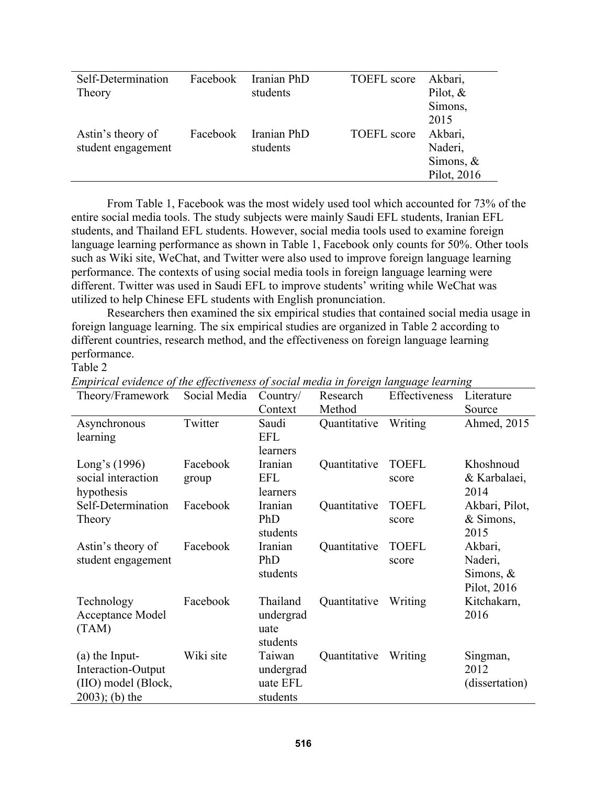| Self-Determination | Facebook | Iranian PhD | <b>TOEFL</b> score | Akbari,     |
|--------------------|----------|-------------|--------------------|-------------|
| Theory             |          | students    |                    | Pilot, $&$  |
|                    |          |             |                    | Simons,     |
|                    |          |             |                    | 2015        |
| Astin's theory of  | Facebook | Iranian PhD | TOEFL score        | Akbari,     |
| student engagement |          | students    |                    | Naderi,     |
|                    |          |             |                    | Simons, $&$ |
|                    |          |             |                    | Pilot, 2016 |

From Table 1, Facebook was the most widely used tool which accounted for 73% of the entire social media tools. The study subjects were mainly Saudi EFL students, Iranian EFL students, and Thailand EFL students. However, social media tools used to examine foreign language learning performance as shown in Table 1, Facebook only counts for 50%. Other tools such as Wiki site, WeChat, and Twitter were also used to improve foreign language learning performance. The contexts of using social media tools in foreign language learning were different. Twitter was used in Saudi EFL to improve students' writing while WeChat was utilized to help Chinese EFL students with English pronunciation.

Researchers then examined the six empirical studies that contained social media usage in foreign language learning. The six empirical studies are organized in Table 2 according to different countries, research method, and the effectiveness on foreign language learning performance.

### Table 2

| Theory/Framework                                                                  | Social Media      | Country/<br>Context                         | Research<br>Method | Effectiveness         | Literature<br>Source                             |
|-----------------------------------------------------------------------------------|-------------------|---------------------------------------------|--------------------|-----------------------|--------------------------------------------------|
| Asynchronous<br>learning                                                          | Twitter           | Saudi<br><b>EFL</b><br>learners             | Quantitative       | Writing               | Ahmed, 2015                                      |
| Long's $(1996)$<br>social interaction<br>hypothesis                               | Facebook<br>group | Iranian<br><b>EFL</b><br>learners           | Quantitative       | <b>TOEFL</b><br>score | Khoshnoud<br>& Karbalaei,<br>2014                |
| Self-Determination<br>Theory                                                      | Facebook          | Iranian<br>PhD<br>students                  | Quantitative       | <b>TOEFL</b><br>score | Akbari, Pilot,<br>& Simons,<br>2015              |
| Astin's theory of<br>student engagement                                           | Facebook          | Iranian<br>PhD<br>students                  | Quantitative       | <b>TOEFL</b><br>score | Akbari,<br>Naderi,<br>Simons, $&$<br>Pilot, 2016 |
| Technology<br>Acceptance Model<br>(TAM)                                           | Facebook          | Thailand<br>undergrad<br>uate<br>students   | Quantitative       | Writing               | Kitchakarn,<br>2016                              |
| (a) the Input-<br>Interaction-Output<br>(IIO) model (Block,<br>$(2003)$ ; (b) the | Wiki site         | Taiwan<br>undergrad<br>uate EFL<br>students | Quantitative       | Writing               | Singman,<br>2012<br>(dissertation)               |

*Empirical evidence of the effectiveness of social media in foreign language learning*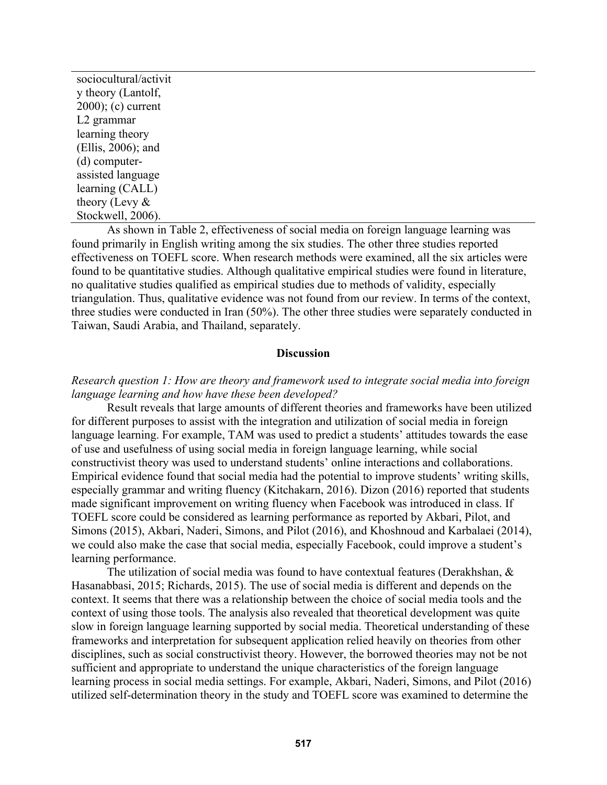| sociocultural/activit  |
|------------------------|
| y theory (Lantolf,     |
| $2000$ ; (c) current   |
| L <sub>2</sub> grammar |
| learning theory        |
| $(Ellis, 2006)$ ; and  |
| $(d)$ computer-        |
| assisted language      |
| learning (CALL)        |
| theory (Levy $\&$      |
| Stockwell, 2006).      |

As shown in Table 2, effectiveness of social media on foreign language learning was found primarily in English writing among the six studies. The other three studies reported effectiveness on TOEFL score. When research methods were examined, all the six articles were found to be quantitative studies. Although qualitative empirical studies were found in literature, no qualitative studies qualified as empirical studies due to methods of validity, especially triangulation. Thus, qualitative evidence was not found from our review. In terms of the context, three studies were conducted in Iran (50%). The other three studies were separately conducted in Taiwan, Saudi Arabia, and Thailand, separately.

#### **Discussion**

### *Research question 1: How are theory and framework used to integrate social media into foreign language learning and how have these been developed?*

Result reveals that large amounts of different theories and frameworks have been utilized for different purposes to assist with the integration and utilization of social media in foreign language learning. For example, TAM was used to predict a students' attitudes towards the ease of use and usefulness of using social media in foreign language learning, while social constructivist theory was used to understand students' online interactions and collaborations. Empirical evidence found that social media had the potential to improve students' writing skills, especially grammar and writing fluency (Kitchakarn, 2016). Dizon (2016) reported that students made significant improvement on writing fluency when Facebook was introduced in class. If TOEFL score could be considered as learning performance as reported by Akbari, Pilot, and Simons (2015), Akbari, Naderi, Simons, and Pilot (2016), and Khoshnoud and Karbalaei (2014), we could also make the case that social media, especially Facebook, could improve a student's learning performance.

The utilization of social media was found to have contextual features (Derakhshan, & Hasanabbasi, 2015; Richards, 2015). The use of social media is different and depends on the context. It seems that there was a relationship between the choice of social media tools and the context of using those tools. The analysis also revealed that theoretical development was quite slow in foreign language learning supported by social media. Theoretical understanding of these frameworks and interpretation for subsequent application relied heavily on theories from other disciplines, such as social constructivist theory. However, the borrowed theories may not be not sufficient and appropriate to understand the unique characteristics of the foreign language learning process in social media settings. For example, Akbari, Naderi, Simons, and Pilot (2016) utilized self-determination theory in the study and TOEFL score was examined to determine the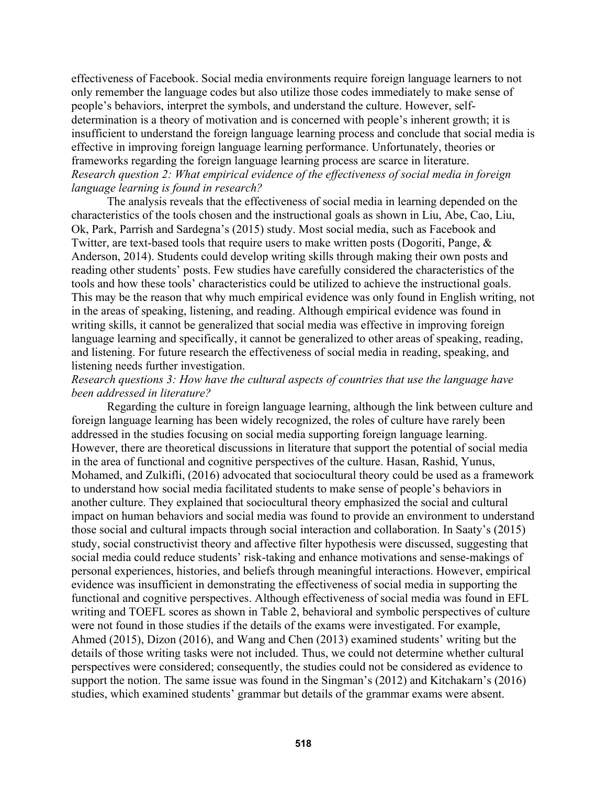effectiveness of Facebook. Social media environments require foreign language learners to not only remember the language codes but also utilize those codes immediately to make sense of people's behaviors, interpret the symbols, and understand the culture. However, selfdetermination is a theory of motivation and is concerned with people's inherent growth; it is insufficient to understand the foreign language learning process and conclude that social media is effective in improving foreign language learning performance. Unfortunately, theories or frameworks regarding the foreign language learning process are scarce in literature. *Research question 2: What empirical evidence of the effectiveness of social media in foreign language learning is found in research?* 

The analysis reveals that the effectiveness of social media in learning depended on the characteristics of the tools chosen and the instructional goals as shown in Liu, Abe, Cao, Liu, Ok, Park, Parrish and Sardegna's (2015) study. Most social media, such as Facebook and Twitter, are text-based tools that require users to make written posts (Dogoriti, Pange, & Anderson, 2014). Students could develop writing skills through making their own posts and reading other students' posts. Few studies have carefully considered the characteristics of the tools and how these tools' characteristics could be utilized to achieve the instructional goals. This may be the reason that why much empirical evidence was only found in English writing, not in the areas of speaking, listening, and reading. Although empirical evidence was found in writing skills, it cannot be generalized that social media was effective in improving foreign language learning and specifically, it cannot be generalized to other areas of speaking, reading, and listening. For future research the effectiveness of social media in reading, speaking, and listening needs further investigation.

### *Research questions 3: How have the cultural aspects of countries that use the language have been addressed in literature?*

Regarding the culture in foreign language learning, although the link between culture and foreign language learning has been widely recognized, the roles of culture have rarely been addressed in the studies focusing on social media supporting foreign language learning. However, there are theoretical discussions in literature that support the potential of social media in the area of functional and cognitive perspectives of the culture. Hasan, Rashid, Yunus, Mohamed, and Zulkifli, (2016) advocated that sociocultural theory could be used as a framework to understand how social media facilitated students to make sense of people's behaviors in another culture. They explained that sociocultural theory emphasized the social and cultural impact on human behaviors and social media was found to provide an environment to understand those social and cultural impacts through social interaction and collaboration. In Saaty's (2015) study, social constructivist theory and affective filter hypothesis were discussed, suggesting that social media could reduce students' risk-taking and enhance motivations and sense-makings of personal experiences, histories, and beliefs through meaningful interactions. However, empirical evidence was insufficient in demonstrating the effectiveness of social media in supporting the functional and cognitive perspectives. Although effectiveness of social media was found in EFL writing and TOEFL scores as shown in Table 2, behavioral and symbolic perspectives of culture were not found in those studies if the details of the exams were investigated. For example, Ahmed (2015), Dizon (2016), and Wang and Chen (2013) examined students' writing but the details of those writing tasks were not included. Thus, we could not determine whether cultural perspectives were considered; consequently, the studies could not be considered as evidence to support the notion. The same issue was found in the Singman's (2012) and Kitchakarn's (2016) studies, which examined students' grammar but details of the grammar exams were absent.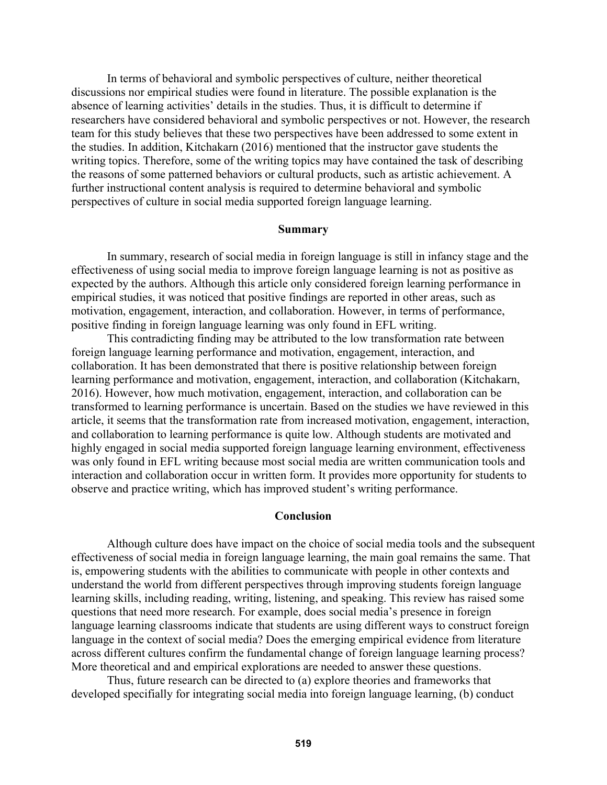In terms of behavioral and symbolic perspectives of culture, neither theoretical discussions nor empirical studies were found in literature. The possible explanation is the absence of learning activities' details in the studies. Thus, it is difficult to determine if researchers have considered behavioral and symbolic perspectives or not. However, the research team for this study believes that these two perspectives have been addressed to some extent in the studies. In addition, Kitchakarn (2016) mentioned that the instructor gave students the writing topics. Therefore, some of the writing topics may have contained the task of describing the reasons of some patterned behaviors or cultural products, such as artistic achievement. A further instructional content analysis is required to determine behavioral and symbolic perspectives of culture in social media supported foreign language learning.

### **Summary**

In summary, research of social media in foreign language is still in infancy stage and the effectiveness of using social media to improve foreign language learning is not as positive as expected by the authors. Although this article only considered foreign learning performance in empirical studies, it was noticed that positive findings are reported in other areas, such as motivation, engagement, interaction, and collaboration. However, in terms of performance, positive finding in foreign language learning was only found in EFL writing.

This contradicting finding may be attributed to the low transformation rate between foreign language learning performance and motivation, engagement, interaction, and collaboration. It has been demonstrated that there is positive relationship between foreign learning performance and motivation, engagement, interaction, and collaboration (Kitchakarn, 2016). However, how much motivation, engagement, interaction, and collaboration can be transformed to learning performance is uncertain. Based on the studies we have reviewed in this article, it seems that the transformation rate from increased motivation, engagement, interaction, and collaboration to learning performance is quite low. Although students are motivated and highly engaged in social media supported foreign language learning environment, effectiveness was only found in EFL writing because most social media are written communication tools and interaction and collaboration occur in written form. It provides more opportunity for students to observe and practice writing, which has improved student's writing performance.

#### **Conclusion**

Although culture does have impact on the choice of social media tools and the subsequent effectiveness of social media in foreign language learning, the main goal remains the same. That is, empowering students with the abilities to communicate with people in other contexts and understand the world from different perspectives through improving students foreign language learning skills, including reading, writing, listening, and speaking. This review has raised some questions that need more research. For example, does social media's presence in foreign language learning classrooms indicate that students are using different ways to construct foreign language in the context of social media? Does the emerging empirical evidence from literature across different cultures confirm the fundamental change of foreign language learning process? More theoretical and and empirical explorations are needed to answer these questions.

Thus, future research can be directed to (a) explore theories and frameworks that developed specifially for integrating social media into foreign language learning, (b) conduct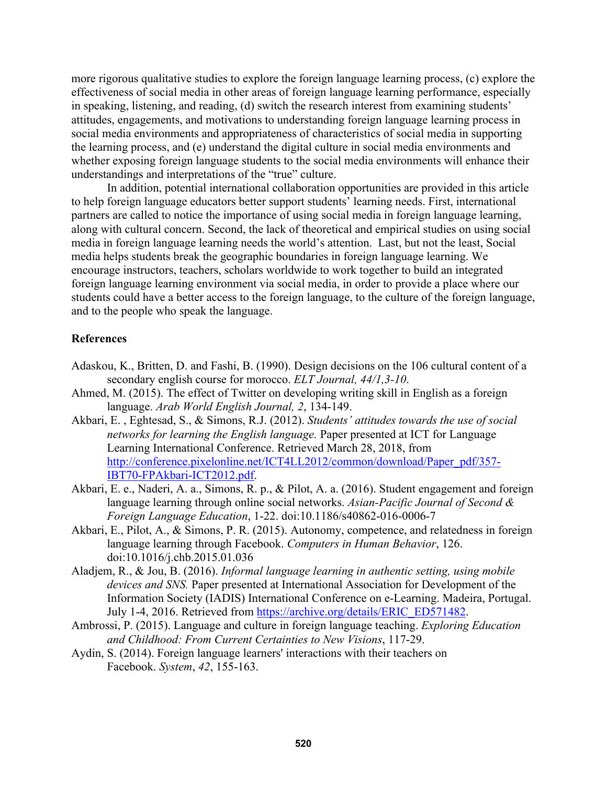more rigorous qualitative studies to explore the foreign language learning process, (c) explore the effectiveness of social media in other areas of foreign language learning performance, especially in speaking, listening, and reading, (d) switch the research interest from examining students' attitudes, engagements, and motivations to understanding foreign language learning process in social media environments and appropriateness of characteristics of social media in supporting the learning process, and (e) understand the digital culture in social media environments and whether exposing foreign language students to the social media environments will enhance their understandings and interpretations of the "true" culture.

In addition, potential international collaboration opportunities are provided in this article to help foreign language educators better support students' learning needs. First, international partners are called to notice the importance of using social media in foreign language learning, along with cultural concern. Second, the lack of theoretical and empirical studies on using social media in foreign language learning needs the world's attention. Last, but not the least, Social media helps students break the geographic boundaries in foreign language learning. We encourage instructors, teachers, scholars worldwide to work together to build an integrated foreign language learning environment via social media, in order to provide a place where our students could have a better access to the foreign language, to the culture of the foreign language, and to the people who speak the language.

## **References**

- Adaskou, K., Britten, D. and Fashi, B. (1990). Design decisions on the 106 cultural content of a secondary english course for morocco. *ELT Journal, 44/1,3-10*.
- Ahmed, M. (2015). The effect of Twitter on developing writing skill in English as a foreign language. *Arab World English Journal, 2*, 134-149.
- Akbari, E. , Eghtesad, S., & Simons, R.J. (2012). *Students' attitudes towards the use of social networks for learning the English language.* Paper presented at ICT for Language Learning International Conference. Retrieved March 28, 2018, from http://conference.pixelonline.net/ICT4LL2012/common/download/Paper\_pdf/357- IBT70-FPAkbari-ICT2012.pdf.
- Akbari, E. e., Naderi, A. a., Simons, R. p., & Pilot, A. a. (2016). Student engagement and foreign language learning through online social networks. *Asian-Pacific Journal of Second & Foreign Language Education*, 1-22. doi:10.1186/s40862-016-0006-7
- Akbari, E., Pilot, A., & Simons, P. R. (2015). Autonomy, competence, and relatedness in foreign language learning through Facebook. *Computers in Human Behavior*, 126. doi:10.1016/j.chb.2015.01.036
- Aladjem, R., & Jou, B. (2016). *Informal language learning in authentic setting, using mobile devices and SNS.* Paper presented at International Association for Development of the Information Society (IADIS) International Conference on e-Learning. Madeira, Portugal. July 1-4, 2016. Retrieved from https://archive.org/details/ERIC\_ED571482.
- Ambrossi, P. (2015). Language and culture in foreign language teaching. *Exploring Education and Childhood: From Current Certainties to New Visions*, 117-29.
- Aydin, S. (2014). Foreign language learners' interactions with their teachers on Facebook. *System*, *42*, 155-163.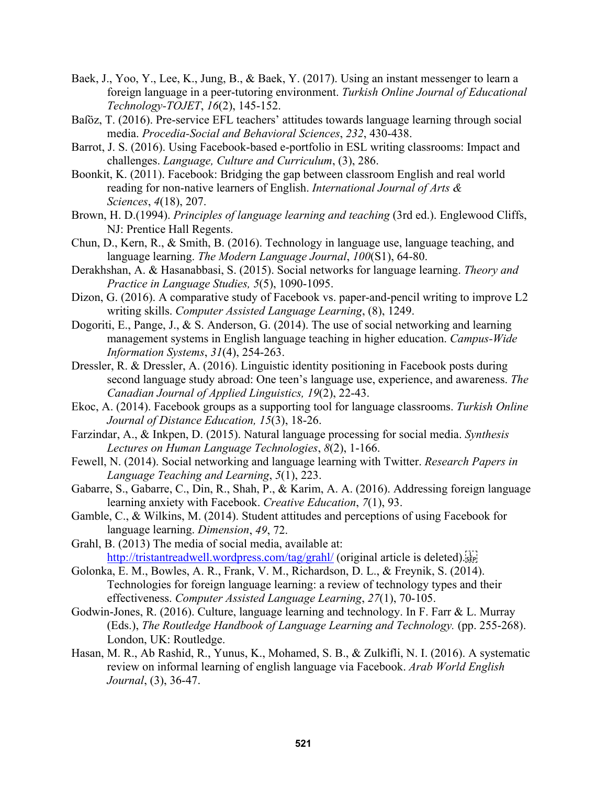- Baek, J., Yoo, Y., Lee, K., Jung, B., & Baek, Y. (2017). Using an instant messenger to learn a foreign language in a peer-tutoring environment. *Turkish Online Journal of Educational Technology-TOJET*, *16*(2), 145-152.
- Baföz, T. (2016). Pre-service EFL teachers' attitudes towards language learning through social media. *Procedia-Social and Behavioral Sciences*, *232*, 430-438.
- Barrot, J. S. (2016). Using Facebook-based e-portfolio in ESL writing classrooms: Impact and challenges. *Language, Culture and Curriculum*, (3), 286.
- Boonkit, K. (2011). Facebook: Bridging the gap between classroom English and real world reading for non-native learners of English. *International Journal of Arts & Sciences*, *4*(18), 207.
- Brown, H. D.(1994). *Principles of language learning and teaching* (3rd ed.). Englewood Cliffs, NJ: Prentice Hall Regents.
- Chun, D., Kern, R., & Smith, B. (2016). Technology in language use, language teaching, and language learning. *The Modern Language Journal*, *100*(S1), 64-80.
- Derakhshan, A. & Hasanabbasi, S. (2015). Social networks for language learning. *Theory and Practice in Language Studies, 5*(5), 1090-1095.
- Dizon, G. (2016). A comparative study of Facebook vs. paper-and-pencil writing to improve L2 writing skills. *Computer Assisted Language Learning*, (8), 1249.
- Dogoriti, E., Pange, J., & S. Anderson, G. (2014). The use of social networking and learning management systems in English language teaching in higher education. *Campus-Wide Information Systems*, *31*(4), 254-263.
- Dressler, R. & Dressler, A. (2016). Linguistic identity positioning in Facebook posts during second language study abroad: One teen's language use, experience, and awareness. *The Canadian Journal of Applied Linguistics, 19*(2), 22-43.
- Ekoc, A. (2014). Facebook groups as a supporting tool for language classrooms. *Turkish Online Journal of Distance Education, 15*(3), 18-26.
- Farzindar, A., & Inkpen, D. (2015). Natural language processing for social media. *Synthesis Lectures on Human Language Technologies*, *8*(2), 1-166.
- Fewell, N. (2014). Social networking and language learning with Twitter. *Research Papers in Language Teaching and Learning*, *5*(1), 223.
- Gabarre, S., Gabarre, C., Din, R., Shah, P., & Karim, A. A. (2016). Addressing foreign language learning anxiety with Facebook. *Creative Education*, *7*(1), 93.
- Gamble, C., & Wilkins, M. (2014). Student attitudes and perceptions of using Facebook for language learning. *Dimension*, *49*, 72.
- Grahl, B. (2013) The media of social media, available at: http://tristantreadwell.wordpress.com/tag/grahl/ (original article is deleted).
- Golonka, E. M., Bowles, A. R., Frank, V. M., Richardson, D. L., & Freynik, S. (2014). Technologies for foreign language learning: a review of technology types and their effectiveness. *Computer Assisted Language Learning*, *27*(1), 70-105.
- Godwin-Jones, R. (2016). Culture, language learning and technology. In F. Farr & L. Murray (Eds.), *The Routledge Handbook of Language Learning and Technology.* (pp. 255-268). London, UK: Routledge.
- Hasan, M. R., Ab Rashid, R., Yunus, K., Mohamed, S. B., & Zulkifli, N. I. (2016). A systematic review on informal learning of english language via Facebook. *Arab World English Journal*, (3), 36-47.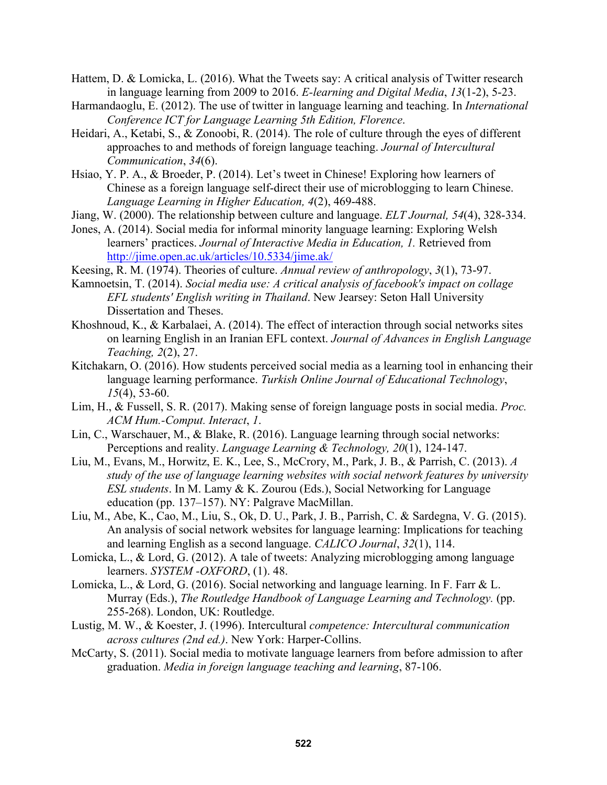- Hattem, D. & Lomicka, L. (2016). What the Tweets say: A critical analysis of Twitter research in language learning from 2009 to 2016. *E-learning and Digital Media*, *13*(1-2), 5-23.
- Harmandaoglu, E. (2012). The use of twitter in language learning and teaching. In *International Conference ICT for Language Learning 5th Edition, Florence*.
- Heidari, A., Ketabi, S., & Zonoobi, R. (2014). The role of culture through the eyes of different approaches to and methods of foreign language teaching. *Journal of Intercultural Communication*, *34*(6).
- Hsiao, Y. P. A., & Broeder, P. (2014). Let's tweet in Chinese! Exploring how learners of Chinese as a foreign language self-direct their use of microblogging to learn Chinese. *Language Learning in Higher Education, 4*(2), 469-488.
- Jiang, W. (2000). The relationship between culture and language. *ELT Journal, 54*(4), 328-334.
- Jones, A. (2014). Social media for informal minority language learning: Exploring Welsh learners' practices. *Journal of Interactive Media in Education, 1.* Retrieved from http://jime.open.ac.uk/articles/10.5334/jime.ak/
- Keesing, R. M. (1974). Theories of culture. *Annual review of anthropology*, *3*(1), 73-97.
- Kamnoetsin, T. (2014). *Social media use: A critical analysis of facebook's impact on collage EFL students' English writing in Thailand*. New Jearsey: Seton Hall University Dissertation and Theses.
- Khoshnoud, K., & Karbalaei, A. (2014). The effect of interaction through social networks sites on learning English in an Iranian EFL context. *Journal of Advances in English Language Teaching, 2*(2), 27.
- Kitchakarn, O. (2016). How students perceived social media as a learning tool in enhancing their language learning performance. *Turkish Online Journal of Educational Technology*, *15*(4), 53-60.
- Lim, H., & Fussell, S. R. (2017). Making sense of foreign language posts in social media. *Proc. ACM Hum.-Comput. Interact*, *1*.
- Lin, C., Warschauer, M., & Blake, R. (2016). Language learning through social networks: Perceptions and reality. *Language Learning & Technology, 20*(1), 124-147.
- Liu, M., Evans, M., Horwitz, E. K., Lee, S., McCrory, M., Park, J. B., & Parrish, C. (2013). *A study of the use of language learning websites with social network features by university ESL students*. In M. Lamy & K. Zourou (Eds.), Social Networking for Language education (pp. 137–157). NY: Palgrave MacMillan.
- Liu, M., Abe, K., Cao, M., Liu, S., Ok, D. U., Park, J. B., Parrish, C. & Sardegna, V. G. (2015). An analysis of social network websites for language learning: Implications for teaching and learning English as a second language. *CALICO Journal*, *32*(1), 114.
- Lomicka, L., & Lord, G. (2012). A tale of tweets: Analyzing microblogging among language learners. *SYSTEM -OXFORD*, (1). 48.
- Lomicka, L., & Lord, G. (2016). Social networking and language learning. In F. Farr & L. Murray (Eds.), *The Routledge Handbook of Language Learning and Technology.* (pp. 255-268). London, UK: Routledge.
- Lustig, M. W., & Koester, J. (1996). Intercultural *competence: Intercultural communication across cultures (2nd ed.)*. New York: Harper-Collins.
- McCarty, S. (2011). Social media to motivate language learners from before admission to after graduation. *Media in foreign language teaching and learning*, 87-106.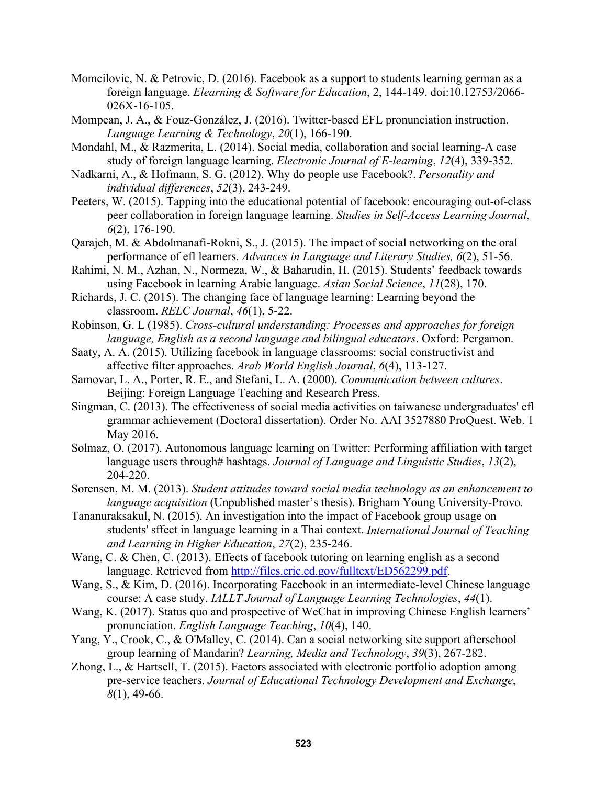- Momcilovic, N. & Petrovic, D. (2016). Facebook as a support to students learning german as a foreign language. *Elearning & Software for Education*, 2, 144-149. doi:10.12753/2066- 026X-16-105.
- Mompean, J. A., & Fouz-González, J. (2016). Twitter-based EFL pronunciation instruction. *Language Learning & Technology*, *20*(1), 166-190.
- Mondahl, M., & Razmerita, L. (2014). Social media, collaboration and social learning-A case study of foreign language learning. *Electronic Journal of E-learning*, *12*(4), 339-352.
- Nadkarni, A., & Hofmann, S. G. (2012). Why do people use Facebook?. *Personality and individual differences*, *52*(3), 243-249.
- Peeters, W. (2015). Tapping into the educational potential of facebook: encouraging out-of-class peer collaboration in foreign language learning. *Studies in Self-Access Learning Journal*, *6*(2), 176-190.
- Qarajeh, M. & Abdolmanafi-Rokni, S., J. (2015). The impact of social networking on the oral performance of efl learners. *Advances in Language and Literary Studies, 6*(2), 51-56.
- Rahimi, N. M., Azhan, N., Normeza, W., & Baharudin, H. (2015). Students' feedback towards using Facebook in learning Arabic language. *Asian Social Science*, *11*(28), 170.
- Richards, J. C. (2015). The changing face of language learning: Learning beyond the classroom. *RELC Journal*, *46*(1), 5-22.
- Robinson, G. L (1985). *Cross-cultural understanding: Processes and approaches for foreign language, English as a second language and bilingual educators*. Oxford: Pergamon.
- Saaty, A. A. (2015). Utilizing facebook in language classrooms: social constructivist and affective filter approaches. *Arab World English Journal*, *6*(4), 113-127.
- Samovar, L. A., Porter, R. E., and Stefani, L. A. (2000). *Communication between cultures*. Beijing: Foreign Language Teaching and Research Press.
- Singman, C. (2013). The effectiveness of social media activities on taiwanese undergraduates' efl grammar achievement (Doctoral dissertation). Order No. AAI 3527880 ProQuest. Web. 1 May 2016.
- Solmaz, O. (2017). Autonomous language learning on Twitter: Performing affiliation with target language users through# hashtags. *Journal of Language and Linguistic Studies*, *13*(2), 204-220.
- Sorensen, M. M. (2013). *Student attitudes toward social media technology as an enhancement to language acquisition* (Unpublished master's thesis). Brigham Young University-Provo*.*
- Tananuraksakul, N. (2015). An investigation into the impact of Facebook group usage on students' sffect in language learning in a Thai context. *International Journal of Teaching and Learning in Higher Education*, *27*(2), 235-246.
- Wang, C. & Chen, C. (2013). Effects of facebook tutoring on learning english as a second language. Retrieved from http://files.eric.ed.gov/fulltext/ED562299.pdf.
- Wang, S., & Kim, D. (2016). Incorporating Facebook in an intermediate-level Chinese language course: A case study. *IALLT Journal of Language Learning Technologies*, *44*(1).
- Wang, K. (2017). Status quo and prospective of WeChat in improving Chinese English learners' pronunciation. *English Language Teaching*, *10*(4), 140.
- Yang, Y., Crook, C., & O'Malley, C. (2014). Can a social networking site support afterschool group learning of Mandarin? *Learning, Media and Technology*, *39*(3), 267-282.
- Zhong, L., & Hartsell, T. (2015). Factors associated with electronic portfolio adoption among pre-service teachers. *Journal of Educational Technology Development and Exchange*, *8*(1), 49-66.